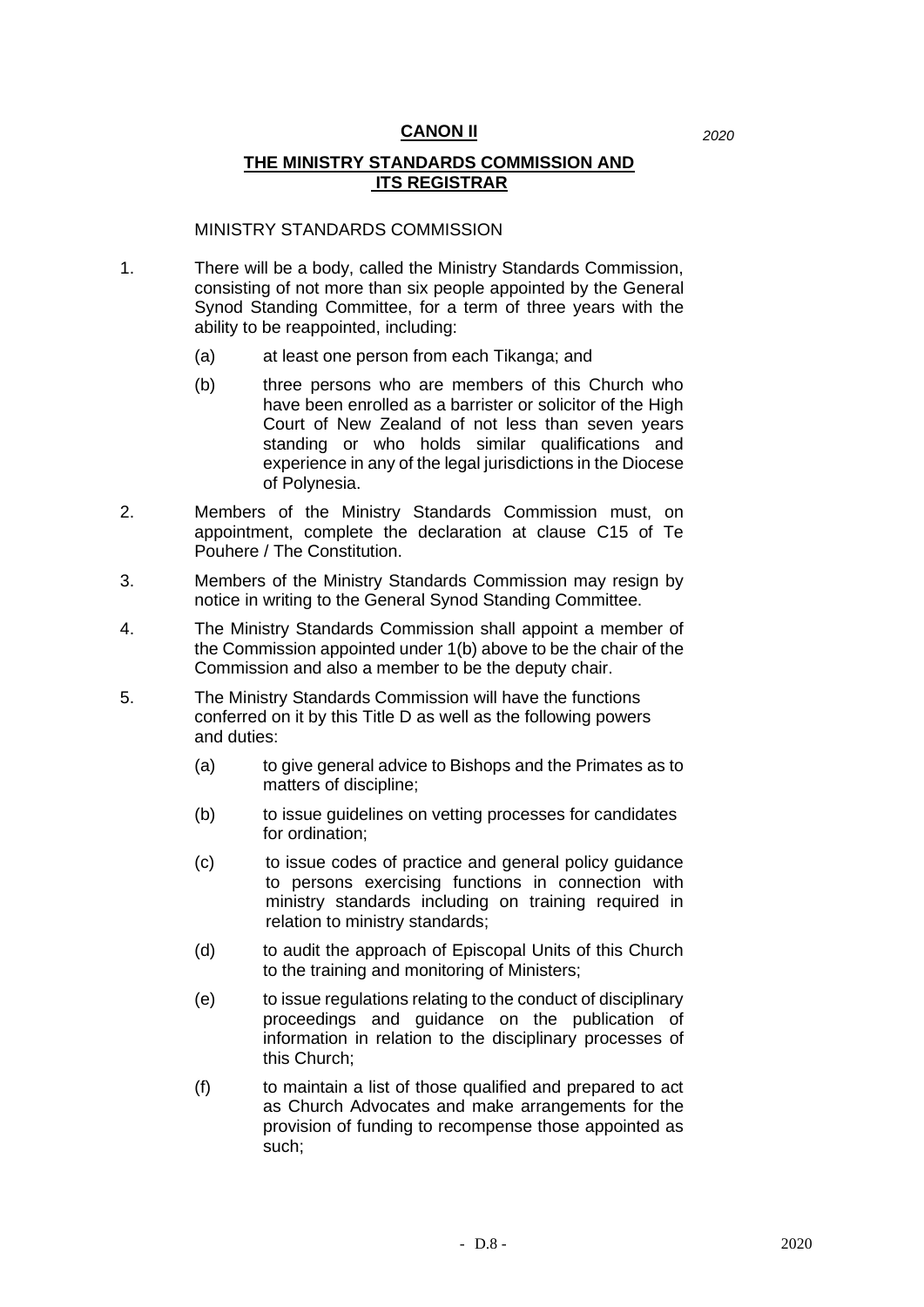## **CANON II** *2020*

## **THE MINISTRY STANDARDS COMMISSION AND ITS REGISTRAR**

## MINISTRY STANDARDS COMMISSION

- 1. There will be a body, called the Ministry Standards Commission, consisting of not more than six people appointed by the General Synod Standing Committee, for a term of three years with the ability to be reappointed, including:
	- (a) at least one person from each Tikanga; and
	- (b) three persons who are members of this Church who have been enrolled as a barrister or solicitor of the High Court of New Zealand of not less than seven years standing or who holds similar qualifications and experience in any of the legal jurisdictions in the Diocese of Polynesia.
- 2. Members of the Ministry Standards Commission must, on appointment, complete the declaration at clause C15 of Te Pouhere / The Constitution.
- 3. Members of the Ministry Standards Commission may resign by notice in writing to the General Synod Standing Committee.
- 4. The Ministry Standards Commission shall appoint a member of the Commission appointed under 1(b) above to be the chair of the Commission and also a member to be the deputy chair.
- 5. The Ministry Standards Commission will have the functions conferred on it by this Title D as well as the following powers and duties:
	- (a) to give general advice to Bishops and the Primates as to matters of discipline;
	- (b) to issue guidelines on vetting processes for candidates for ordination;
	- (c) to issue codes of practice and general policy guidance to persons exercising functions in connection with ministry standards including on training required in relation to ministry standards;
	- (d) to audit the approach of Episcopal Units of this Church to the training and monitoring of Ministers;
	- (e) to issue regulations relating to the conduct of disciplinary proceedings and guidance on the publication of information in relation to the disciplinary processes of this Church;
	- (f) to maintain a list of those qualified and prepared to act as Church Advocates and make arrangements for the provision of funding to recompense those appointed as such;